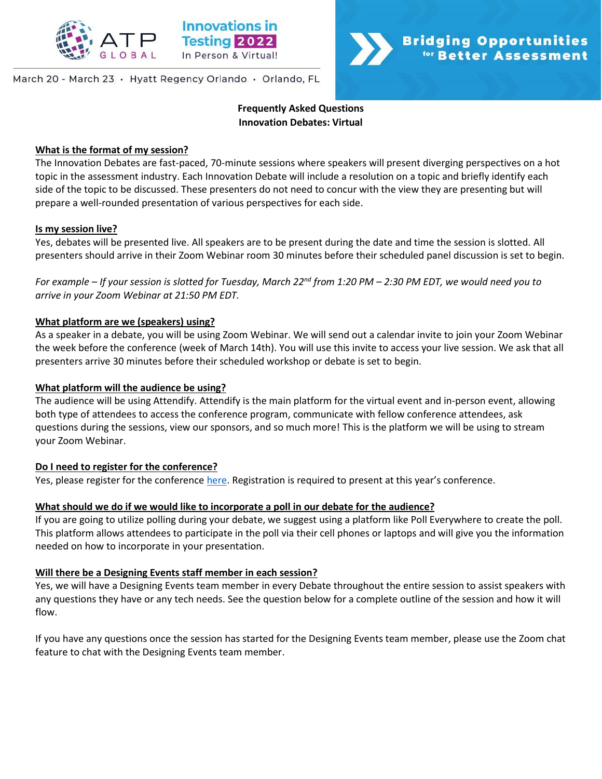

## March 20 - March 23 · Hyatt Regency Orlando · Orlando, FL

# **Frequently Asked Questions Innovation Debates: Virtual**

**Bridging Opportunities** 

for Better Assessment

### **What is the format of my session?**

The Innovation Debates are fast-paced, 70-minute sessions where speakers will present diverging perspectives on a hot topic in the assessment industry. Each Innovation Debate will include a resolution on a topic and briefly identify each side of the topic to be discussed. These presenters do not need to concur with the view they are presenting but will prepare a well-rounded presentation of various perspectives for each side.

#### **Is my session live?**

Yes, debates will be presented live. All speakers are to be present during the date and time the session is slotted. All presenters should arrive in their Zoom Webinar room 30 minutes before their scheduled panel discussion is set to begin.

*For example – If your session is slotted for Tuesday, March 22nd from 1:20 PM – 2:30 PM EDT, we would need you to arrive in your Zoom Webinar at 21:50 PM EDT.* 

# **What platform are we (speakers) using?**

As a speaker in a debate, you will be using Zoom Webinar. We will send out a calendar invite to join your Zoom Webinar the week before the conference (week of March 14th). You will use this invite to access your live session. We ask that all presenters arrive 30 minutes before their scheduled workshop or debate is set to begin.

### **What platform will the audience be using?**

The audience will be using Attendify. Attendify is the main platform for the virtual event and in-person event, allowing both type of attendees to access the conference program, communicate with fellow conference attendees, ask questions during the sessions, view our sponsors, and so much more! This is the platform we will be using to stream your Zoom Webinar.

#### **Do I need to register for the conference?**

Yes, please register for the conference [here](http://www.innovationsintesting.org/register.aspx). Registration is required to present at this year's conference.

# **What should we do if we would like to incorporate a poll in our debate for the audience?**

If you are going to utilize polling during your debate, we suggest using a platform like Poll Everywhere to create the poll. This platform allows attendees to participate in the poll via their cell phones or laptops and will give you the information needed on how to incorporate in your presentation.

### **Will there be a Designing Events staff member in each session?**

Yes, we will have a Designing Events team member in every Debate throughout the entire session to assist speakers with any questions they have or any tech needs. See the question below for a complete outline of the session and how it will flow.

If you have any questions once the session has started for the Designing Events team member, please use the Zoom chat feature to chat with the Designing Events team member.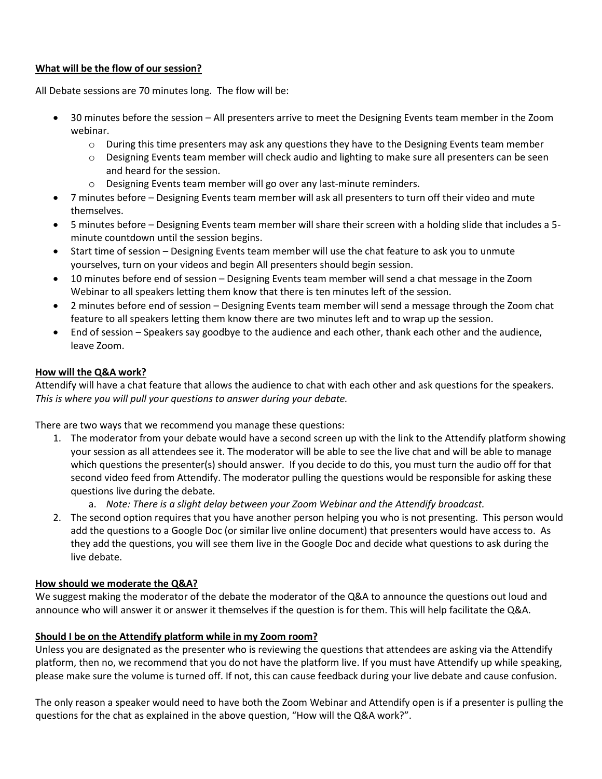# **What will be the flow of our session?**

All Debate sessions are 70 minutes long. The flow will be:

- 30 minutes before the session All presenters arrive to meet the Designing Events team member in the Zoom webinar.
	- $\circ$  During this time presenters may ask any questions they have to the Designing Events team member
	- o Designing Events team member will check audio and lighting to make sure all presenters can be seen and heard for the session.
	- o Designing Events team member will go over any last-minute reminders.
- 7 minutes before Designing Events team member will ask all presenters to turn off their video and mute themselves.
- 5 minutes before Designing Events team member will share their screen with a holding slide that includes a 5 minute countdown until the session begins.
- Start time of session Designing Events team member will use the chat feature to ask you to unmute yourselves, turn on your videos and begin All presenters should begin session.
- 10 minutes before end of session Designing Events team member will send a chat message in the Zoom Webinar to all speakers letting them know that there is ten minutes left of the session.
- 2 minutes before end of session Designing Events team member will send a message through the Zoom chat feature to all speakers letting them know there are two minutes left and to wrap up the session.
- End of session Speakers say goodbye to the audience and each other, thank each other and the audience, leave Zoom.

# **How will the Q&A work?**

Attendify will have a chat feature that allows the audience to chat with each other and ask questions for the speakers. *This is where you will pull your questions to answer during your debate.* 

There are two ways that we recommend you manage these questions:

- 1. The moderator from your debate would have a second screen up with the link to the Attendify platform showing your session as all attendees see it. The moderator will be able to see the live chat and will be able to manage which questions the presenter(s) should answer. If you decide to do this, you must turn the audio off for that second video feed from Attendify. The moderator pulling the questions would be responsible for asking these questions live during the debate.
	- a. *Note: There is a slight delay between your Zoom Webinar and the Attendify broadcast.*
- 2. The second option requires that you have another person helping you who is not presenting. This person would add the questions to a Google Doc (or similar live online document) that presenters would have access to. As they add the questions, you will see them live in the Google Doc and decide what questions to ask during the live debate.

# **How should we moderate the Q&A?**

We suggest making the moderator of the debate the moderator of the Q&A to announce the questions out loud and announce who will answer it or answer it themselves if the question is for them. This will help facilitate the Q&A.

# **Should I be on the Attendify platform while in my Zoom room?**

Unless you are designated as the presenter who is reviewing the questions that attendees are asking via the Attendify platform, then no, we recommend that you do not have the platform live. If you must have Attendify up while speaking, please make sure the volume is turned off. If not, this can cause feedback during your live debate and cause confusion.

The only reason a speaker would need to have both the Zoom Webinar and Attendify open is if a presenter is pulling the questions for the chat as explained in the above question, "How will the Q&A work?".